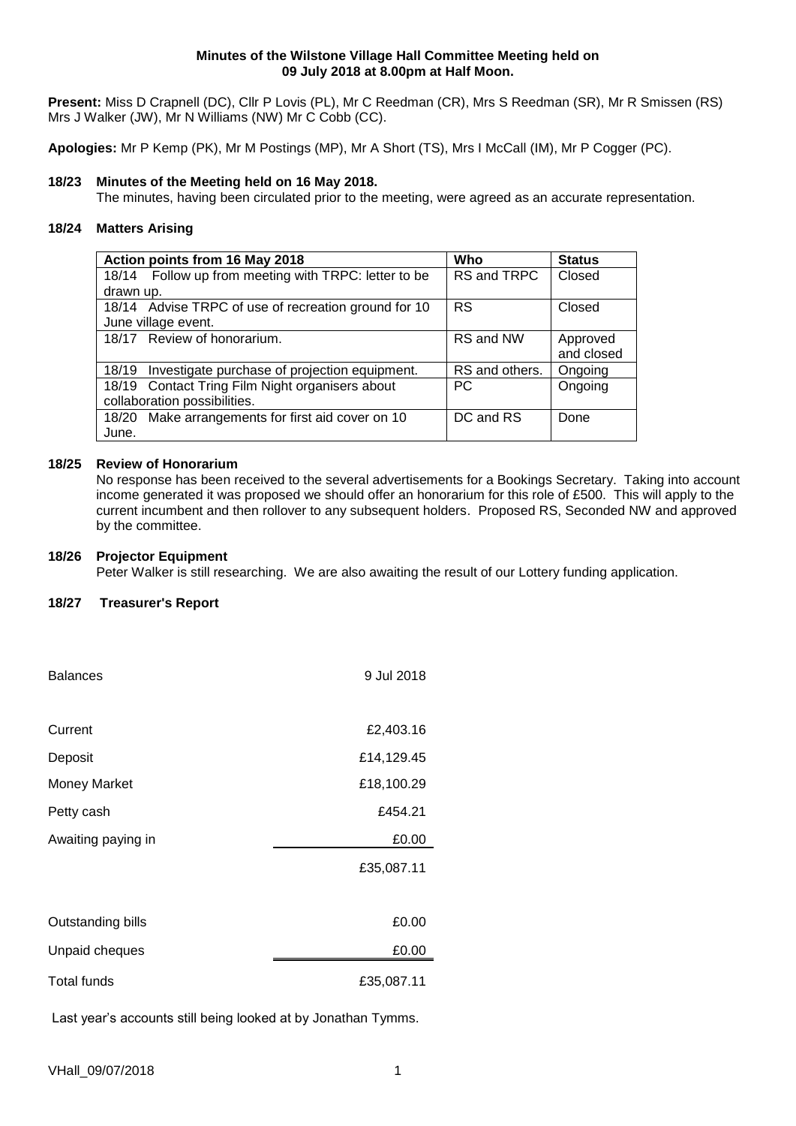#### **Minutes of the Wilstone Village Hall Committee Meeting held on 09 July 2018 at 8.00pm at Half Moon.**

**Present:** Miss D Crapnell (DC), Cllr P Lovis (PL), Mr C Reedman (CR), Mrs S Reedman (SR), Mr R Smissen (RS) Mrs J Walker (JW), Mr N Williams (NW) Mr C Cobb (CC).

**Apologies:** Mr P Kemp (PK), Mr M Postings (MP), Mr A Short (TS), Mrs I McCall (IM), Mr P Cogger (PC).

# **18/23 Minutes of the Meeting held on 16 May 2018.**

The minutes, having been circulated prior to the meeting, were agreed as an accurate representation.

# **18/24 Matters Arising**

| Action points from 16 May 2018                         | Who            | <b>Status</b> |
|--------------------------------------------------------|----------------|---------------|
| 18/14 Follow up from meeting with TRPC: letter to be   | RS and TRPC    | Closed        |
| drawn up.                                              |                |               |
| 18/14 Advise TRPC of use of recreation ground for 10   | <b>RS</b>      | Closed        |
| June village event.                                    |                |               |
| 18/17 Review of honorarium.                            | RS and NW      | Approved      |
|                                                        |                | and closed    |
| Investigate purchase of projection equipment.<br>18/19 | RS and others. | Ongoing       |
| 18/19 Contact Tring Film Night organisers about        | PC.            | Ongoing       |
| collaboration possibilities.                           |                |               |
| 18/20 Make arrangements for first aid cover on 10      | DC and RS      | Done          |
| June.                                                  |                |               |

# **18/25 Review of Honorarium**

No response has been received to the several advertisements for a Bookings Secretary. Taking into account income generated it was proposed we should offer an honorarium for this role of £500. This will apply to the current incumbent and then rollover to any subsequent holders. Proposed RS, Seconded NW and approved by the committee.

## **18/26 Projector Equipment**

Peter Walker is still researching. We are also awaiting the result of our Lottery funding application.

### **18/27 Treasurer's Report**

| <b>Balances</b>     | 9 Jul 2018 |
|---------------------|------------|
|                     |            |
| Current             | £2,403.16  |
| Deposit             | £14,129.45 |
| <b>Money Market</b> | £18,100.29 |
| Petty cash          | £454.21    |
| Awaiting paying in  | £0.00      |
|                     | £35,087.11 |
|                     |            |
| Outstanding bills   | £0.00      |
| Unpaid cheques      | £0.00      |
| <b>Total funds</b>  | £35,087.11 |

Last year's accounts still being looked at by Jonathan Tymms.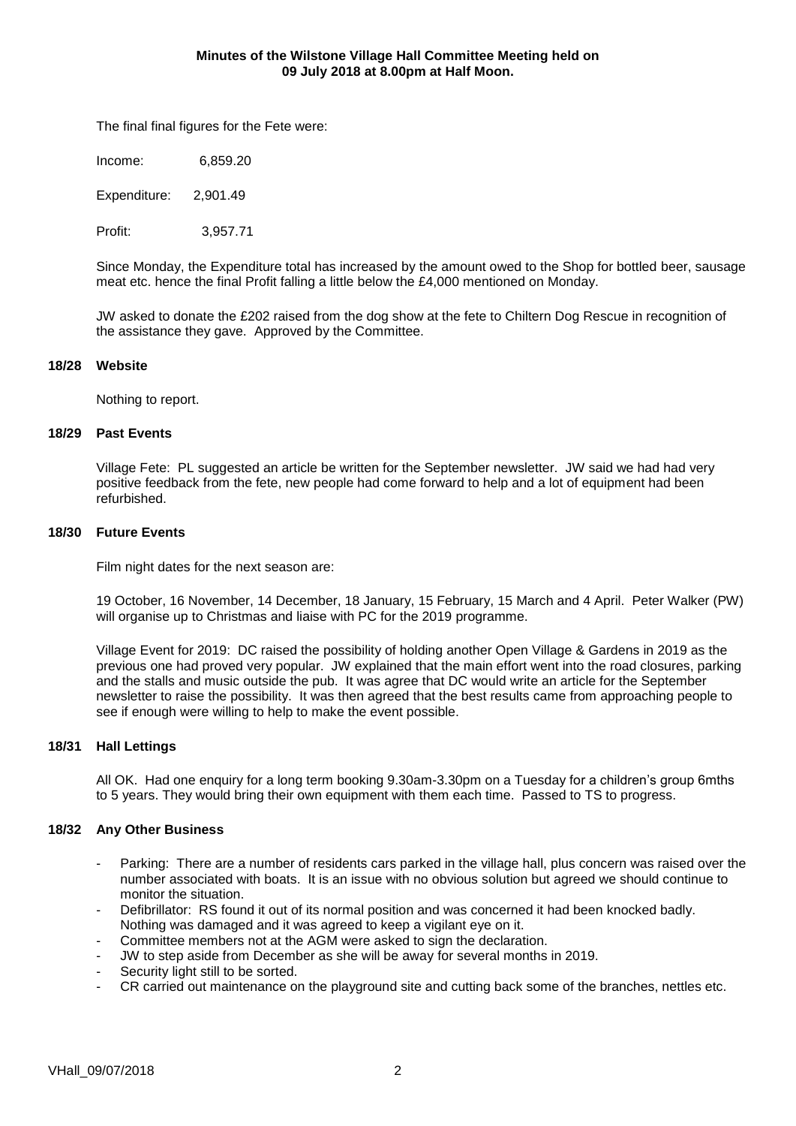The final final figures for the Fete were:

Income: 6,859.20

Expenditure: 2,901.49

Profit: 3,957.71

Since Monday, the Expenditure total has increased by the amount owed to the Shop for bottled beer, sausage meat etc. hence the final Profit falling a little below the £4,000 mentioned on Monday.

JW asked to donate the £202 raised from the dog show at the fete to Chiltern Dog Rescue in recognition of the assistance they gave. Approved by the Committee.

#### **18/28 Website**

Nothing to report.

#### **18/29 Past Events**

Village Fete: PL suggested an article be written for the September newsletter. JW said we had had very positive feedback from the fete, new people had come forward to help and a lot of equipment had been refurbished.

### **18/30 Future Events**

Film night dates for the next season are:

19 October, 16 November, 14 December, 18 January, 15 February, 15 March and 4 April. Peter Walker (PW) will organise up to Christmas and liaise with PC for the 2019 programme.

Village Event for 2019: DC raised the possibility of holding another Open Village & Gardens in 2019 as the previous one had proved very popular. JW explained that the main effort went into the road closures, parking and the stalls and music outside the pub. It was agree that DC would write an article for the September newsletter to raise the possibility. It was then agreed that the best results came from approaching people to see if enough were willing to help to make the event possible.

#### **18/31 Hall Lettings**

All OK. Had one enquiry for a long term booking 9.30am-3.30pm on a Tuesday for a children's group 6mths to 5 years. They would bring their own equipment with them each time. Passed to TS to progress.

### **18/32 Any Other Business**

- Parking: There are a number of residents cars parked in the village hall, plus concern was raised over the number associated with boats. It is an issue with no obvious solution but agreed we should continue to monitor the situation.
- Defibrillator: RS found it out of its normal position and was concerned it had been knocked badly. Nothing was damaged and it was agreed to keep a vigilant eye on it.
- Committee members not at the AGM were asked to sign the declaration.
- JW to step aside from December as she will be away for several months in 2019.
- Security light still to be sorted.
- CR carried out maintenance on the playground site and cutting back some of the branches, nettles etc.